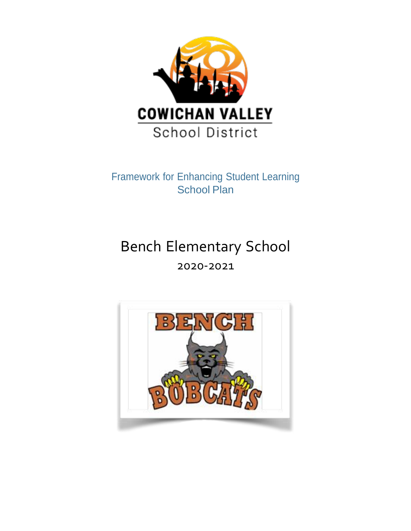

# Framework for Enhancing Student Learning School Plan

# Bench Elementary School 2020-2021

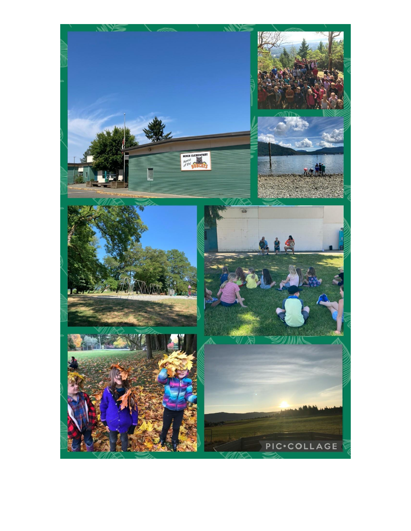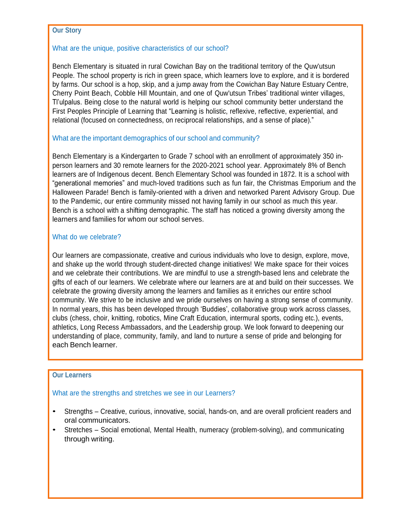#### **Our Story**

#### What are the unique, positive characteristics of our school?

Bench Elementary is situated in rural Cowichan Bay on the traditional territory of the Quw'utsun People. The school property is rich in green space, which learners love to explore, and it is bordered by farms. Our school is a hop, skip, and a jump away from the Cowichan Bay Nature Estuary Centre, Cherry Point Beach, Cobble Hill Mountain, and one of Quw'utsun Tribes' traditional winter villages, Tl'ulpalus. Being close to the natural world is helping our school community better understand the First Peoples Principle of Learning that "Learning is holistic, reflexive, reflective, experiential, and relational (focused on connectedness, on reciprocal relationships, and a sense of place)."

#### What are the important demographics of our school and community?

Bench Elementary is a Kindergarten to Grade 7 school with an enrollment of approximately 350 inperson learners and 30 remote learners for the 2020-2021 school year. Approximately 8% of Bench learners are of Indigenous decent. Bench Elementary School was founded in 1872. It is a school with "generational memories" and much-loved traditions such as fun fair, the Christmas Emporium and the Halloween Parade! Bench is family-oriented with a driven and networked Parent Advisory Group. Due to the Pandemic, our entire community missed not having family in our school as much this year. Bench is a school with a shifting demographic. The staff has noticed a growing diversity among the learners and families for whom our school serves.

#### What do we celebrate?

Our learners are compassionate, creative and curious individuals who love to design, explore, move, and shake up the world through student-directed change initiatives! We make space for their voices and we celebrate their contributions. We are mindful to use a strength-based lens and celebrate the gifts of each of our learners. We celebrate where our learners are at and build on their successes. We celebrate the growing diversity among the learners and families as it enriches our entire school community. We strive to be inclusive and we pride ourselves on having a strong sense of community. In normal years, this has been developed through 'Buddies', collaborative group work across classes, clubs (chess, choir, knitting, robotics, Mine Craft Education, intermural sports, coding etc.), events, athletics, Long Recess Ambassadors, and the Leadership group. We look forward to deepening our understanding of place, community, family, and land to nurture a sense of pride and belonging for each Bench learner.

#### **Our Learners**

#### What are the strengths and stretches we see in our Learners?

- Strengths Creative, curious, innovative, social, hands-on, and are overall proficient readers and oral communicators.
- Stretches Social emotional, Mental Health, numeracy (problem-solving), and communicating through writing.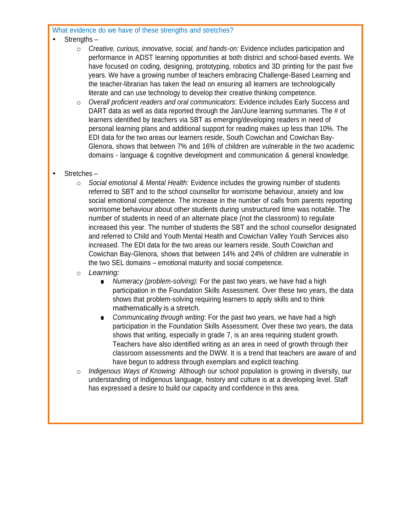What evidence do we have of these strengths and stretches?

### Strengths -

- o *Creative, curious, innovative, social, and hands-on:* Evidence includes participation and performance in ADST learning opportunities at both district and school-based events. We have focused on coding, designing, prototyping, robotics and 3D printing for the past five years. We have a growing number of teachers embracing Challenge-Based Learning and the teacher-librarian has taken the lead on ensuring all learners are technologically literate and can use technology to develop their creative thinking competence.
- o *Overall proficient readers and oral communicators*: Evidence includes Early Success and DART data as well as data reported through the Jan/June learning summaries. The # of learners identified by teachers via SBT as emerging/developing readers in need of personal learning plans and additional support for reading makes up less than 10%. The EDI data for the two areas our learners reside, South Cowichan and Cowichan Bay-Glenora, shows that between 7% and 16% of children are vulnerable in the two academic domains - language & cognitive development and communication & general knowledge.
- Stretches
	- o *Social emotional & Mental Health:* Evidence includes the growing number of students referred to SBT and to the school counsellor for worrisome behaviour, anxiety and low social emotional competence. The increase in the number of calls from parents reporting worrisome behaviour about other students during unstructured time was notable. The number of students in need of an alternate place (not the classroom) to regulate increased this year. The number of students the SBT and the school counsellor designated and referred to Child and Youth Mental Health and Cowichan Valley Youth Services also increased. The EDI data for the two areas our learners reside, South Cowichan and Cowichan Bay-Glenora, shows that between 14% and 24% of children are vulnerable in the two SEL domains – emotional maturity and social competence.
	- o *Learning:*
		- *Numeracy (problem-solving):* For the past two years, we have had a high participation in the Foundation Skills Assessment. Over these two years, the data shows that problem-solving requiring learners to apply skills and to think mathematically is a stretch.
		- *Communicating through writing*: For the past two years, we have had a high participation in the Foundation Skills Assessment. Over these two years, the data shows that writing, especially in grade 7, is an area requiring student growth. Teachers have also identified writing as an area in need of growth through their classroom assessments and the DWW. It is a trend that teachers are aware of and have begun to address through exemplars and explicit teaching.
	- o *Indigenous Ways of Knowing:* Although our school population is growing in diversity, our understanding of Indigenous language, history and culture is at a developing level. Staff has expressed a desire to build our capacity and confidence in this area.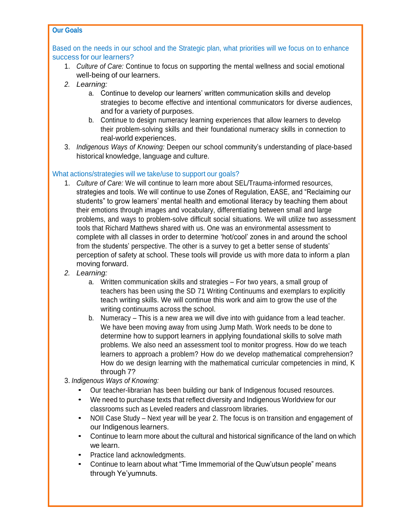#### **Our Goals**

Based on the needs in our school and the Strategic plan, what priorities will we focus on to enhance success for our learners?

- 1. *Culture of Care:* Continue to focus on supporting the mental wellness and social emotional well-being of our learners.
- *2. Learning:*
	- a. Continue to develop our learners' written communication skills and develop strategies to become effective and intentional communicators for diverse audiences, and for a variety of purposes.
	- b. Continue to design numeracy learning experiences that allow learners to develop their problem-solving skills and their foundational numeracy skills in connection to real-world experiences.
- 3. *Indigenous Ways of Knowing:* Deepen our school community's understanding of place-based historical knowledge, language and culture.

## What actions/strategies will we take/use to support our goals?

- 1. *Culture of Care:* We will continue to learn more about SEL/Trauma-informed resources, strategies and tools. We will continue to use Zones of Regulation, EASE, and "Reclaiming our students" to grow learners' mental health and emotional literacy by teaching them about their emotions through images and vocabulary, differentiating between small and large problems, and ways to problem-solve difficult social situations. We will utilize two assessment tools that Richard Matthews shared with us. One was an environmental assessment to complete with all classes in order to determine 'hot/cool' zones in and around the school from the students' perspective. The other is a survey to get a better sense of students' perception of safety at school. These tools will provide us with more data to inform a plan moving forward.
- *2. Learning:*
	- a. Written communication skills and strategies For two years, a small group of teachers has been using the SD 71 Writing Continuums and exemplars to explicitly teach writing skills. We will continue this work and aim to grow the use of the writing continuums across the school.
	- b. Numeracy This is a new area we will dive into with guidance from a lead teacher. We have been moving away from using Jump Math. Work needs to be done to determine how to support learners in applying foundational skills to solve math problems. We also need an assessment tool to monitor progress. How do we teach learners to approach a problem? How do we develop mathematical comprehension? How do we design learning with the mathematical curricular competencies in mind, K through 7?
- 3. *Indigenous Ways of Knowing:*
	- Our teacher-librarian has been building our bank of Indigenous focused resources.
	- We need to purchase texts that reflect diversity and Indigenous Worldview for our classrooms such as Leveled readers and classroom libraries.
	- NOII Case Study Next year will be year 2. The focus is on transition and engagement of our Indigenous learners.
	- Continue to learn more about the cultural and historical significance of the land on which we learn.
	- Practice land acknowledgments.
	- Continue to learn about what "Time Immemorial of the Quw'utsun people" means through Ye'yumnuts.